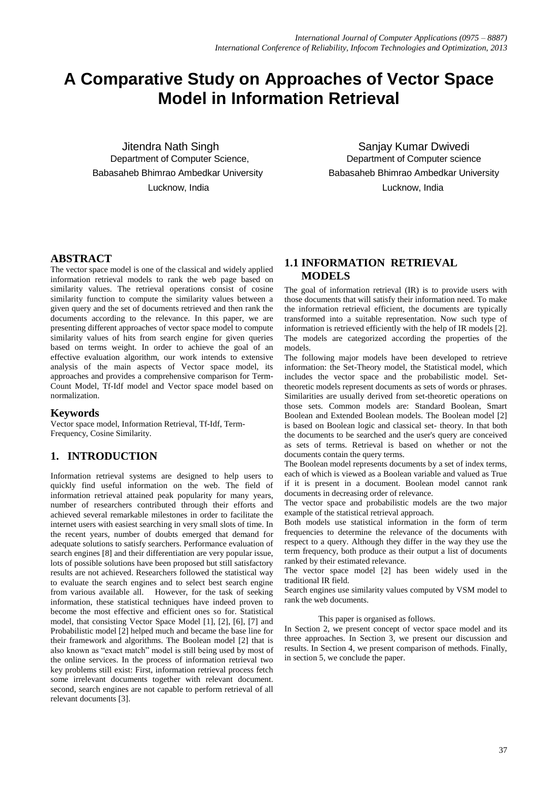# **A Comparative Study on Approaches of Vector Space Model in Information Retrieval**

Lucknow, India Lucknow, India

Jitendra Nath Singh Sanjay Kumar Dwivedi Department of Computer Science, Department of Computer science Babasaheb Bhimrao Ambedkar University Babasaheb Bhimrao Ambedkar University

# **ABSTRACT**

The vector space model is one of the classical and widely applied information retrieval models to rank the web page based on similarity values. The retrieval operations consist of cosine similarity function to compute the similarity values between a given query and the set of documents retrieved and then rank the documents according to the relevance. In this paper, we are presenting different approaches of vector space model to compute similarity values of hits from search engine for given queries based on terms weight. In order to achieve the goal of an effective evaluation algorithm, our work intends to extensive analysis of the main aspects of Vector space model, its approaches and provides a comprehensive comparison for Term-Count Model, Tf-Idf model and Vector space model based on normalization.

### **Keywords**

Vector space model, Information Retrieval, Tf-Idf, Term-Frequency, Cosine Similarity.

# **1. INTRODUCTION**

Information retrieval systems are designed to help users to quickly find useful information on the web. The field of information retrieval attained peak popularity for many years, number of researchers contributed through their efforts and achieved several remarkable milestones in order to facilitate the internet users with easiest searching in very small slots of time. In the recent years, number of doubts emerged that demand for adequate solutions to satisfy searchers. Performance evaluation of search engines [8] and their differentiation are very popular issue, lots of possible solutions have been proposed but still satisfactory results are not achieved. Researchers followed the statistical way to evaluate the search engines and to select best search engine from various available all. However, for the task of seeking information, these statistical techniques have indeed proven to become the most effective and efficient ones so for. Statistical model, that consisting Vector Space Model [1], [2], [6], [7] and Probabilistic model [2] helped much and became the base line for their framework and algorithms. The Boolean model [2] that is also known as "exact match" model is still being used by most of the online services. In the process of information retrieval two key problems still exist: First, information retrieval process fetch some irrelevant documents together with relevant document. second, search engines are not capable to perform retrieval of all relevant documents [3].

# **1.1 INFORMATION RETRIEVAL MODELS**

The goal of information retrieval (IR) is to provide users with those documents that will satisfy their information need. To make the information retrieval efficient, the documents are typically transformed into a suitable representation. Now such type of information is retrieved efficiently with the help of IR models [2]. The models are categorized according the properties of the models.

The following major models have been developed to retrieve information: the Set-Theory model, the Statistical model, which includes the vector space and the probabilistic model. Settheoretic models represent documents as sets of words or phrases. Similarities are usually derived from set-theoretic operations on those sets. Common models are: Standard Boolean, Smart Boolean and Extended Boolean models. The Boolean model [2] is based on Boolean logic and classical set- theory. In that both the documents to be searched and the user's query are conceived as sets of terms. Retrieval is based on whether or not the documents contain the query terms.

The Boolean model represents documents by a set of index terms, each of which is viewed as a Boolean variable and valued as True if it is present in a document. Boolean model cannot rank documents in decreasing order of relevance.

The vector space and probabilistic models are the two major example of the statistical retrieval approach.

Both models use statistical information in the form of term frequencies to determine the relevance of the documents with respect to a query. Although they differ in the way they use the term frequency, both produce as their output a list of documents ranked by their estimated relevance.

The vector space model [2] has been widely used in the traditional IR field.

Search engines use similarity values computed by VSM model to rank the web documents.

#### This paper is organised as follows.

In Section 2, we present concept of vector space model and its three approaches. In Section 3, we present our discussion and results. In Section 4, we present comparison of methods. Finally, in section 5, we conclude the paper.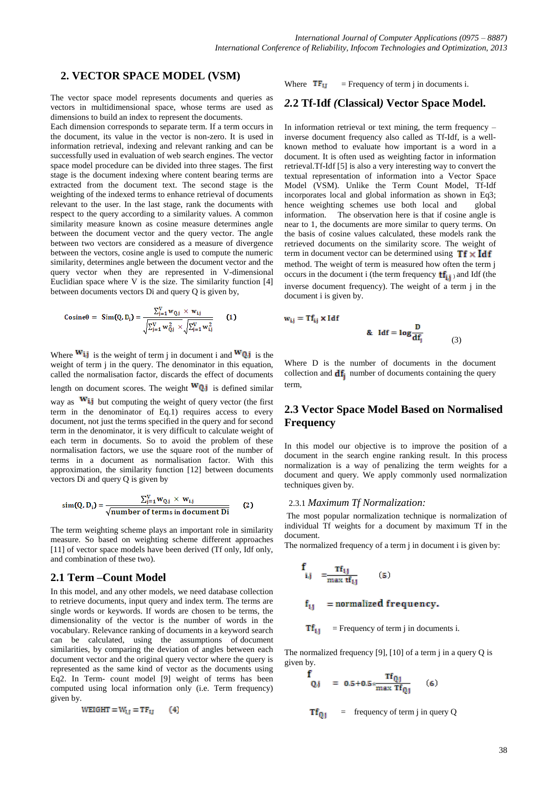### **2. VECTOR SPACE MODEL (VSM)**

The vector space model represents documents and queries as vectors in multidimensional space, whose terms are used as dimensions to build an index to represent the documents.

Each dimension corresponds to separate term. If a term occurs in the document, its value in the vector is non-zero. It is used in information retrieval, indexing and relevant ranking and can be successfully used in evaluation of web search engines. The vector space model procedure can be divided into three stages. The first stage is the document indexing where content bearing terms are extracted from the document text. The second stage is the weighting of the indexed terms to enhance retrieval of documents relevant to the user. In the last stage, rank the documents with respect to the query according to a similarity values. A common similarity measure known as cosine measure determines angle between the document vector and the query vector. The angle between two vectors are considered as a measure of divergence between the vectors, cosine angle is used to compute the numeric similarity, determines angle between the document vector and the query vector when they are represented in V-dimensional Euclidian space where V is the size. The similarity function [4] between documents vectors Di and query Q is given by,

Cosine
$$
\theta = \text{Sim}(Q, D_i) = \frac{\sum_{j=1}^{V} w_{Q,j} \times w_{ij}}{\sqrt{\sum_{j=1}^{V} w_{Q,j}^2 \times \sqrt{\sum_{j=1}^{V} w_{ij}^2}}}
$$
 (1)

Where  $\mathbf{w_{ij}}$  is the weight of term j in document i and  $\mathbf{w_{0j}}$  is the weight of term j in the query. The denominator in this equation, called the normalisation factor, discards the effect of documents length on document scores. The weight  $WQ_i$  is defined similar way as  $W_{i,j}$  but computing the weight of query vector (the first term in the denominator of Eq.1) requires access to every document, not just the terms specified in the query and for second term in the denominator, it is very difficult to calculate weight of each term in documents. So to avoid the problem of these normalisation factors, we use the square root of the number of terms in a document as normalisation factor. With this approximation, the similarity function [12] between documents vectors Di and query Q is given by

$$
\sin(Q, D_i) = \frac{\sum_{j=1}^{V} w_{Q,j} \times w_{i,j}}{\sqrt{\text{number of terms in document Di}}}
$$
 (2)

The term weighting scheme plays an important role in similarity measure. So based on weighting scheme different approaches [11] of vector space models have been derived (Tf only, Idf only, and combination of these two).

### **2.1 Term –Count Model**

In this model, and any other models, we need database collection to retrieve documents, input query and index term. The terms are single words or keywords. If words are chosen to be terms, the dimensionality of the vector is the number of words in the vocabulary. Relevance ranking of documents in a keyword search can be calculated, using the assumptions of document similarities, by comparing the deviation of angles between each document vector and the original query vector where the query is represented as the same kind of vector as the documents using Eq2. In Term- count model [9] weight of terms has been computed using local information only (i.e. Term frequency) given by.

$$
WEIGHT = W_{I,J} = TF_{IJ} \qquad (4)
$$

Where  $TF_{11}$  = Frequency of term j in documents i.

# *2.***2 Tf-Idf** *(***Classical***)* **Vector Space Model.**

In information retrieval or text mining, the term frequency – inverse document frequency also called as Tf-Idf, is a wellknown method to evaluate how important is a word in a document. It is often used as weighting factor in information retrieval.Tf-Idf [5] is also a very interesting way to convert the textual representation of information into a [Vector Space](http://en.wikipedia.org/wiki/Vector_space_model)  [Model](http://en.wikipedia.org/wiki/Vector_space_model) (VSM). Unlike the Term Count Model, Tf-Idf incorporates local and global information as shown in Eq3; hence weighting schemes use both local and global information. The observation here is that if cosine angle is near to 1, the documents are more similar to query terms. On the basis of cosine values calculated, these models rank the retrieved documents on the similarity score. The weight of term in document vector can be determined using  $Tf \times Idf$ method. The weight of term is measured how often the term j occurs in the document i (the term frequency  $tf_{i,i}$ ) and Idf (the inverse document frequency). The weight of a term j in the document i is given by.

$$
\mathbf{w}_{ij} = \mathbf{T} \mathbf{f}_{ij} \times \mathbf{I} \, \mathbf{d} \mathbf{f}
$$
 & 
$$
\mathbf{d} \mathbf{f} = \mathbf{log} \frac{\mathbf{D}}{\mathbf{d} \mathbf{f}_j}
$$
 (3)

Where D is the number of documents in the document collection and  $df_i$  number of documents containing the query term,

# **2.3 Vector Space Model Based on Normalised Frequency**

In this model our objective is to improve the position of a document in the search engine ranking result. In this process normalization is a way of penalizing the term weights for a document and query. We apply commonly used normalization techniques given by.

#### 2.3.1 *Maximum Tf Normalization:*

The most popular normalization technique is normalization of individual Tf weights for a document by maximum Tf in the document.

The normalized frequency of a term *j* in document *i* is given by:

$$
\frac{f}{i,j} = \frac{Tf_{i,j}}{\max t f_{i,j}} \qquad (5)
$$

$$
f_{1,j}
$$
 = normalized frequency.

$$
Tf_{11} = \text{Frequency of term } j \text{ in documents } i.
$$

The normalized frequency [9], [10] of a term  $\mu$  in a query Q is given by.

$$
\frac{f}{Q,j} = 0.5 + 0.5 * \frac{Tf_{Qj}}{\max Tf_{Q1}} \quad (6)
$$

 $Tf_{01}$  = frequency of term j in query Q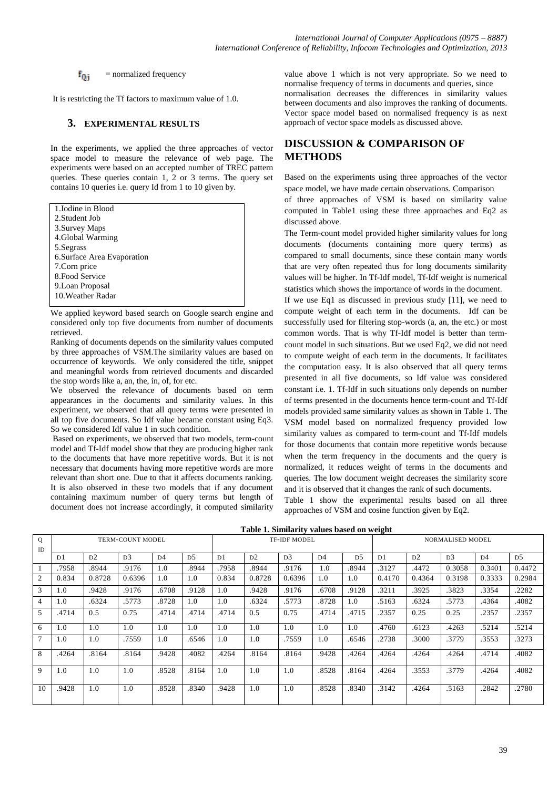$f_{0,i}$  = normalized frequency

It is restricting the Tf factors to maximum value of 1.0.

#### **3. EXPERIMENTAL RESULTS**

In the experiments, we applied the three approaches of vector space model to measure the relevance of web page. The experiments were based on an accepted number of TREC pattern queries. These queries contain 1, 2 or 3 terms. The query set contains 10 queries i.e. query Id from 1 to 10 given by.

| 1. Iodine in Blood          |
|-----------------------------|
| 2. Student Job              |
| 3. Survey Maps              |
| 4. Global Warming           |
| 5. Segrass                  |
| 6. Surface Area Evaporation |
| 7. Corn price               |
| 8. Food Service             |
| 9. Loan Proposal            |
| 10. Weather Radar           |
|                             |

We applied keyword based search on Google search engine and considered only top five documents from number of documents retrieved.

Ranking of documents depends on the similarity values computed by three approaches of VSM.The similarity values are based on occurrence of keywords. We only considered the title, snippet and meaningful words from retrieved documents and discarded the stop words like a, an, the, in, of, for etc.

We observed the relevance of documents based on term appearances in the documents and similarity values. In this experiment, we observed that all query terms were presented in all top five documents. So Idf value became constant using Eq3. So we considered Idf value 1 in such condition.

Based on experiments, we observed that two models, term-count model and Tf-Idf model show that they are producing higher rank to the documents that have more repetitive words. But it is not necessary that documents having more repetitive words are more relevant than short one. Due to that it affects documents ranking. It is also observed in these two models that if any document containing maximum number of query terms but length of document does not increase accordingly, it computed similarity

value above 1 which is not very appropriate. So we need to normalise frequency of terms in documents and queries, since normalisation decreases the differences in similarity values between documents and also improves the ranking of documents. Vector space model based on normalised frequency is as next approach of vector space models as discussed above.

# **DISCUSSION & COMPARISON OF METHODS**

Based on the experiments using three approaches of the vector space model, we have made certain observations. Comparison of three approaches of VSM is based on similarity value computed in Table1 using these three approaches and Eq2 as discussed above.

The Term-count model provided higher similarity values for long documents (documents containing more query terms) as compared to small documents, since these contain many words that are very often repeated thus for long documents similarity values will be higher. In Tf-Idf model, Tf-Idf weight is numerical statistics which shows the importance of words in the document.

If we use Eq1 as discussed in previous study [11], we need to compute weight of each term in the documents. Idf can be successfully used for filtering stop-words (a, an, the etc.) or most common words. That is why Tf-Idf model is better than termcount model in such situations. But we used Eq2, we did not need to compute weight of each term in the documents. It facilitates the computation easy. It is also observed that all query terms presented in all five documents, so Idf value was considered constant i.e. 1. Tf-Idf in such situations only depends on number of terms presented in the documents hence term-count and Tf-Idf models provided same similarity values as shown in Table 1. The VSM model based on normalized frequency provided low similarity values as compared to term-count and Tf-Idf models for those documents that contain more repetitive words because when the term frequency in the documents and the query is normalized, it reduces weight of terms in the documents and queries. The low document weight decreases the similarity score and it is observed that it changes the rank of such documents.

Table 1 show the experimental results based on all three approaches of VSM and cosine function given by Eq2.

|                |                  |                |                |                |                |                     | Table 1. Similarity values based on weight |                |                |                |                  |                |                |                |                |
|----------------|------------------|----------------|----------------|----------------|----------------|---------------------|--------------------------------------------|----------------|----------------|----------------|------------------|----------------|----------------|----------------|----------------|
| Q              | TERM-COUNT MODEL |                |                |                |                | <b>TF-IDF MODEL</b> |                                            |                |                |                | NORMALISED MODEL |                |                |                |                |
| ID             |                  |                |                |                |                |                     |                                            |                |                |                |                  |                |                |                |                |
|                | D1               | D <sub>2</sub> | D <sub>3</sub> | D <sub>4</sub> | D <sub>5</sub> | D <sub>1</sub>      | D <sub>2</sub>                             | D <sub>3</sub> | D <sub>4</sub> | D <sub>5</sub> | D <sub>1</sub>   | D <sub>2</sub> | D <sub>3</sub> | D <sub>4</sub> | D <sub>5</sub> |
| -1             | .7958            | .8944          | .9176          | 1.0            | .8944          | .7958               | .8944                                      | .9176          | 1.0            | .8944          | .3127            | .4472          | 0.3058         | 0.3401         | 0.4472         |
| 2              | 0.834            | 0.8728         | 0.6396         | 1.0            | 1.0            | 0.834               | 0.8728                                     | 0.6396         | 1.0            | 1.0            | 0.4170           | 0.4364         | 0.3198         | 0.3333         | 0.2984         |
| 3              | 1.0              | .9428          | .9176          | .6708          | .9128          | 1.0                 | .9428                                      | .9176          | .6708          | .9128          | .3211            | .3925          | .3823          | .3354          | .2282          |
| $\overline{4}$ | 1.0              | .6324          | .5773          | .8728          | 1.0            | 1.0                 | .6324                                      | .5773          | .8728          | 1.0            | .5163            | .6324          | .5773          | .4364          | .4082          |
| 5              | .4714            | 0.5            | 0.75           | .4714          | .4714          | .4714               | 0.5                                        | 0.75           | .4714          | .4715          | .2357            | 0.25           | 0.25           | .2357          | .2357          |
| 6              | 1.0              | 1.0            | 1.0            | 1.0            | 1.0            | 1.0                 | 1.0                                        | 1.0            | 1.0            | 1.0            | .4760            | .6123          | .4263          | .5214          | .5214          |
| $\overline{7}$ | 1.0              | 1.0            | .7559          | 1.0            | .6546          | 1.0                 | 1.0                                        | .7559          | 1.0            | .6546          | .2738            | .3000          | .3779          | .3553          | .3273          |
| 8              | .4264            | .8164          | .8164          | .9428          | .4082          | .4264               | .8164                                      | .8164          | .9428          | .4264          | .4264            | .4264          | .4264          | .4714          | .4082          |
| 9              | 1.0              | 1.0            | 1.0            | .8528          | .8164          | 1.0                 | 1.0                                        | 1.0            | .8528          | .8164          | .4264            | .3553          | .3779          | .4264          | .4082          |
| 10             | .9428            | 1.0            | 1.0            | .8528          | .8340          | .9428               | 1.0                                        | 1.0            | .8528          | .8340          | .3142            | .4264          | .5163          | .2842          | .2780          |

39